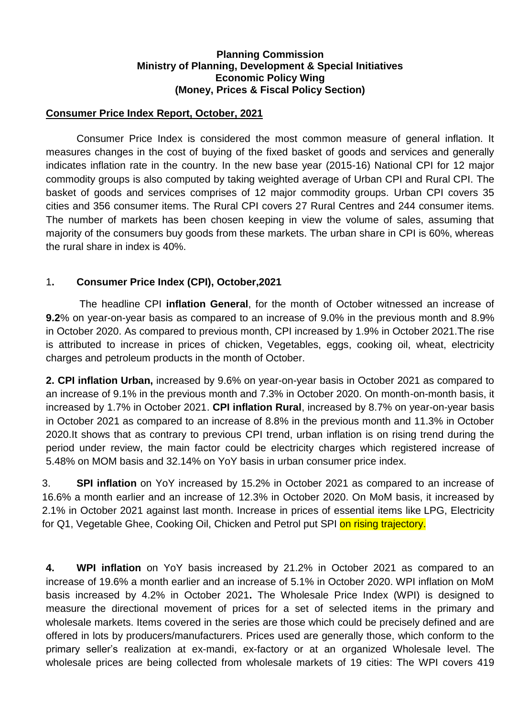### **Planning Commission Ministry of Planning, Development & Special Initiatives Economic Policy Wing (Money, Prices & Fiscal Policy Section)**

### **Consumer Price Index Report, October, 2021**

Consumer Price Index is considered the most common measure of general inflation. It measures changes in the cost of buying of the fixed basket of goods and services and generally indicates inflation rate in the country. In the new base year (2015-16) National CPI for 12 major commodity groups is also computed by taking weighted average of Urban CPI and Rural CPI. The basket of goods and services comprises of 12 major commodity groups. Urban CPI covers 35 cities and 356 consumer items. The Rural CPI covers 27 Rural Centres and 244 consumer items. The number of markets has been chosen keeping in view the volume of sales, assuming that majority of the consumers buy goods from these markets. The urban share in CPI is 60%, whereas the rural share in index is 40%.

# 1**. Consumer Price Index (CPI), October,2021**

The headline CPI **inflation General**, for the month of October witnessed an increase of **9.2**% on year-on-year basis as compared to an increase of 9.0% in the previous month and 8.9% in October 2020. As compared to previous month, CPI increased by 1.9% in October 2021.The rise is attributed to increase in prices of chicken, Vegetables, eggs, cooking oil, wheat, electricity charges and petroleum products in the month of October.

**2. CPI inflation Urban,** increased by 9.6% on year-on-year basis in October 2021 as compared to an increase of 9.1% in the previous month and 7.3% in October 2020. On month-on-month basis, it increased by 1.7% in October 2021. **CPI inflation Rural**, increased by 8.7% on year-on-year basis in October 2021 as compared to an increase of 8.8% in the previous month and 11.3% in October 2020.It shows that as contrary to previous CPI trend, urban inflation is on rising trend during the period under review, the main factor could be electricity charges which registered increase of 5.48% on MOM basis and 32.14% on YoY basis in urban consumer price index.

3. **SPI inflation** on YoY increased by 15.2% in October 2021 as compared to an increase of 16.6% a month earlier and an increase of 12.3% in October 2020. On MoM basis, it increased by 2.1% in October 2021 against last month. Increase in prices of essential items like LPG, Electricity for Q1, Vegetable Ghee, Cooking Oil, Chicken and Petrol put SPI on rising trajectory.

**4. WPI inflation** on YoY basis increased by 21.2% in October 2021 as compared to an increase of 19.6% a month earlier and an increase of 5.1% in October 2020. WPI inflation on MoM basis increased by 4.2% in October 2021**.** The Wholesale Price Index (WPI) is designed to measure the directional movement of prices for a set of selected items in the primary and wholesale markets. Items covered in the series are those which could be precisely defined and are offered in lots by producers/manufacturers. Prices used are generally those, which conform to the primary seller's realization at ex-mandi, ex-factory or at an organized Wholesale level. The wholesale prices are being collected from wholesale markets of 19 cities: The WPI covers 419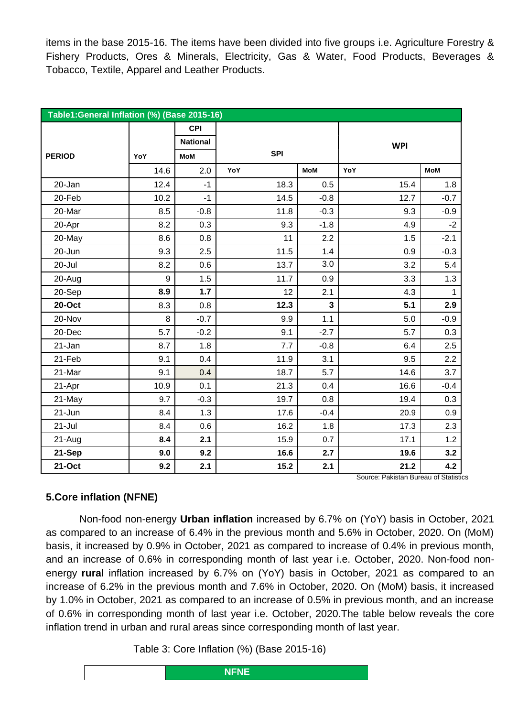items in the base 2015-16. The items have been divided into five groups i.e. Agriculture Forestry & Fishery Products, Ores & Minerals, Electricity, Gas & Water, Food Products, Beverages & Tobacco, Textile, Apparel and Leather Products.

| Table1: General Inflation (%) (Base 2015-16) |      |                 |            |                         |            |              |  |  |  |
|----------------------------------------------|------|-----------------|------------|-------------------------|------------|--------------|--|--|--|
|                                              |      | <b>CPI</b>      |            |                         |            |              |  |  |  |
|                                              |      | <b>National</b> |            |                         | <b>WPI</b> |              |  |  |  |
| <b>PERIOD</b>                                | YoY  | MoM             | <b>SPI</b> |                         |            |              |  |  |  |
|                                              | 14.6 | 2.0             | YoY        | <b>MoM</b>              | YoY        | <b>MoM</b>   |  |  |  |
| 20-Jan                                       | 12.4 | $-1$            | 18.3       | 0.5                     | 15.4       | 1.8          |  |  |  |
| 20-Feb                                       | 10.2 | $-1$            | 14.5       | $-0.8$                  | 12.7       | $-0.7$       |  |  |  |
| 20-Mar                                       | 8.5  | $-0.8$          | 11.8       | $-0.3$                  | 9.3        | $-0.9$       |  |  |  |
| 20-Apr                                       | 8.2  | 0.3             | 9.3        | $-1.8$                  | 4.9        | $-2$         |  |  |  |
| 20-May                                       | 8.6  | 0.8             | 11         | 2.2                     | 1.5        | $-2.1$       |  |  |  |
| 20-Jun                                       | 9.3  | 2.5             | 11.5       | 1.4                     | 0.9        | $-0.3$       |  |  |  |
| 20-Jul                                       | 8.2  | 0.6             | 13.7       | 3.0                     | 3.2        | 5.4          |  |  |  |
| 20-Aug                                       | 9    | 1.5             | 11.7       | 0.9                     | 3.3        | 1.3          |  |  |  |
| 20-Sep                                       | 8.9  | $1.7$           | 12         | 2.1                     | 4.3        | $\mathbf{1}$ |  |  |  |
| 20-Oct                                       | 8.3  | 0.8             | 12.3       | $\overline{\mathbf{3}}$ | 5.1        | 2.9          |  |  |  |
| 20-Nov                                       | 8    | $-0.7$          | 9.9        | 1.1                     | 5.0        | $-0.9$       |  |  |  |
| 20-Dec                                       | 5.7  | $-0.2$          | 9.1        | $-2.7$                  | 5.7        | 0.3          |  |  |  |
| 21-Jan                                       | 8.7  | 1.8             | 7.7        | $-0.8$                  | 6.4        | 2.5          |  |  |  |
| 21-Feb                                       | 9.1  | 0.4             | 11.9       | 3.1                     | 9.5        | 2.2          |  |  |  |
| 21-Mar                                       | 9.1  | 0.4             | 18.7       | 5.7                     | 14.6       | 3.7          |  |  |  |
| 21-Apr                                       | 10.9 | 0.1             | 21.3       | 0.4                     | 16.6       | $-0.4$       |  |  |  |
| 21-May                                       | 9.7  | $-0.3$          | 19.7       | 0.8                     | 19.4       | 0.3          |  |  |  |
| 21-Jun                                       | 8.4  | 1.3             | 17.6       | $-0.4$                  | 20.9       | 0.9          |  |  |  |
| 21-Jul                                       | 8.4  | 0.6             | 16.2       | 1.8                     | 17.3       | 2.3          |  |  |  |
| 21-Aug                                       | 8.4  | 2.1             | 15.9       | 0.7                     | 17.1       | 1.2          |  |  |  |
| 21-Sep                                       | 9.0  | 9.2             | 16.6       | 2.7                     | 19.6       | 3.2          |  |  |  |
| 21-Oct                                       | 9.2  | 2.1             | 15.2       | 2.1                     | 21.2       | 4.2          |  |  |  |

Source: Pakistan Bureau of Statistics

# **5.Core inflation (NFNE)**

Non-food non-energy **Urban inflation** increased by 6.7% on (YoY) basis in October, 2021 as compared to an increase of 6.4% in the previous month and 5.6% in October, 2020. On (MoM) basis, it increased by 0.9% in October, 2021 as compared to increase of 0.4% in previous month, and an increase of 0.6% in corresponding month of last year i.e. October, 2020. Non-food nonenergy **rura**l inflation increased by 6.7% on (YoY) basis in October, 2021 as compared to an increase of 6.2% in the previous month and 7.6% in October, 2020. On (MoM) basis, it increased by 1.0% in October, 2021 as compared to an increase of 0.5% in previous month, and an increase of 0.6% in corresponding month of last year i.e. October, 2020.The table below reveals the core inflation trend in urban and rural areas since corresponding month of last year.

Table 3: Core Inflation (%) (Base 2015-16)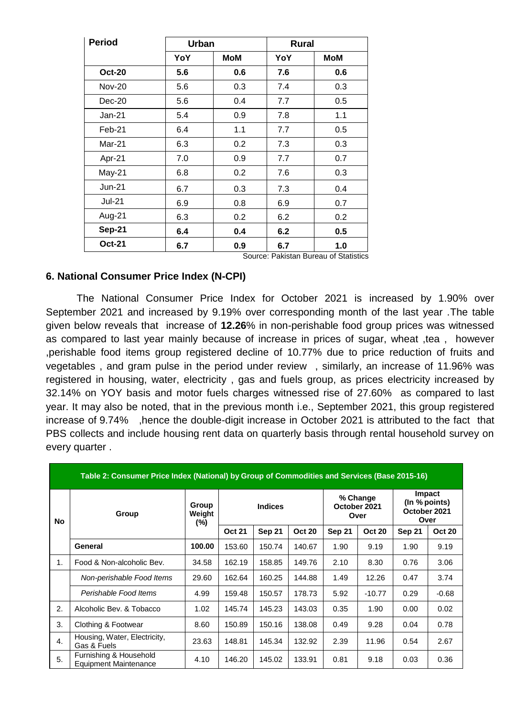| <b>Period</b> | <b>Urban</b> |            | <b>Rural</b> |            |
|---------------|--------------|------------|--------------|------------|
|               | YoY          | <b>MoM</b> | YoY          | <b>MoM</b> |
| <b>Oct-20</b> | 5.6          | 0.6        | 7.6          | 0.6        |
| <b>Nov-20</b> | 5.6          | 0.3        | 7.4          | 0.3        |
| $Dec-20$      | 5.6          | 0.4        | 7.7          | 0.5        |
| Jan-21        | 5.4          | 0.9        | 7.8          | 1.1        |
| Feb-21        | 6.4          | 1.1        | 7.7          | 0.5        |
| Mar-21        | 6.3          | 0.2        | 7.3          | 0.3        |
| Apr-21        | 7.0          | 0.9        | 7.7          | 0.7        |
| May-21        | 6.8          | 0.2        | 7.6          | 0.3        |
| <b>Jun-21</b> | 6.7          | 0.3        | 7.3          | 0.4        |
| <b>Jul-21</b> | 6.9          | 0.8        | 6.9          | 0.7        |
| Aug-21        | 6.3          | 0.2        | 6.2          | 0.2        |
| <b>Sep-21</b> | 6.4          | 0.4        | 6.2          | 0.5        |
| <b>Oct-21</b> | 6.7          | 0.9        | 6.7          | 1.0        |

Source: Pakistan Bureau of Statistics

#### **6. National Consumer Price Index (N-CPI)**

The National Consumer Price Index for October 2021 is increased by 1.90% over September 2021 and increased by 9.19% over corresponding month of the last year .The table given below reveals that increase of **12.26**% in non-perishable food group prices was witnessed as compared to last year mainly because of increase in prices of sugar, wheat ,tea , however ,perishable food items group registered decline of 10.77% due to price reduction of fruits and vegetables , and gram pulse in the period under review , similarly, an increase of 11.96% was registered in housing, water, electricity , gas and fuels group, as prices electricity increased by 32.14% on YOY basis and motor fuels charges witnessed rise of 27.60% as compared to last year. It may also be noted, that in the previous month i.e., September 2021, this group registered increase of 9.74% ,hence the double-digit increase in October 2021 is attributed to the fact that PBS collects and include housing rent data on quarterly basis through rental household survey on every quarter .

| Table 2: Consumer Price Index (National) by Group of Commodities and Services (Base 2015-16) |                                                        |                           |                |        |               |                                  |               |                                                        |               |  |
|----------------------------------------------------------------------------------------------|--------------------------------------------------------|---------------------------|----------------|--------|---------------|----------------------------------|---------------|--------------------------------------------------------|---------------|--|
| No                                                                                           | Group                                                  | Group<br>Weight<br>$(\%)$ | <b>Indices</b> |        |               | % Change<br>October 2021<br>Over |               | <b>Impact</b><br>(In % points)<br>October 2021<br>Over |               |  |
|                                                                                              |                                                        |                           | <b>Oct 21</b>  | Sep 21 | <b>Oct 20</b> | <b>Sep 21</b>                    | <b>Oct 20</b> | Sep 21                                                 | <b>Oct 20</b> |  |
|                                                                                              | General                                                | 100.00                    | 153.60         | 150.74 | 140.67        | 1.90                             | 9.19          | 1.90                                                   | 9.19          |  |
| 1.                                                                                           | Food & Non-alcoholic Bev.                              | 34.58                     | 162.19         | 158.85 | 149.76        | 2.10                             | 8.30          | 0.76                                                   | 3.06          |  |
|                                                                                              | Non-perishable Food Items                              | 29.60                     | 162.64         | 160.25 | 144.88        | 1.49                             | 12.26         | 0.47                                                   | 3.74          |  |
|                                                                                              | Perishable Food Items                                  | 4.99                      | 159.48         | 150.57 | 178.73        | 5.92                             | $-10.77$      | 0.29                                                   | $-0.68$       |  |
| 2.                                                                                           | Alcoholic Bev. & Tobacco                               | 1.02                      | 145.74         | 145.23 | 143.03        | 0.35                             | 1.90          | 0.00                                                   | 0.02          |  |
| 3.                                                                                           | Clothing & Footwear                                    | 8.60                      | 150.89         | 150.16 | 138.08        | 0.49                             | 9.28          | 0.04                                                   | 0.78          |  |
| 4.                                                                                           | Housing, Water, Electricity,<br>Gas & Fuels            | 23.63                     | 148.81         | 145.34 | 132.92        | 2.39                             | 11.96         | 0.54                                                   | 2.67          |  |
| 5.                                                                                           | Furnishing & Household<br><b>Equipment Maintenance</b> | 4.10                      | 146.20         | 145.02 | 133.91        | 0.81                             | 9.18          | 0.03                                                   | 0.36          |  |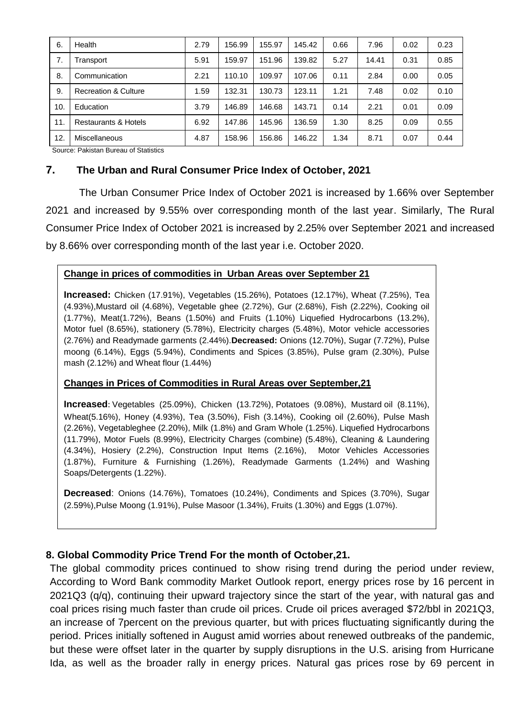| 6.  | Health               | 2.79 | 156.99 | 155.97 | 145.42 | 0.66 | 7.96  | 0.02 | 0.23 |
|-----|----------------------|------|--------|--------|--------|------|-------|------|------|
| 7.  | Transport            | 5.91 | 159.97 | 151.96 | 139.82 | 5.27 | 14.41 | 0.31 | 0.85 |
| 8.  | Communication        | 2.21 | 110.10 | 109.97 | 107.06 | 0.11 | 2.84  | 0.00 | 0.05 |
| 9.  | Recreation & Culture | 1.59 | 132.31 | 130.73 | 123.11 | 1.21 | 7.48  | 0.02 | 0.10 |
| 10. | Education            | 3.79 | 146.89 | 146.68 | 143.71 | 0.14 | 2.21  | 0.01 | 0.09 |
| 11. | Restaurants & Hotels | 6.92 | 147.86 | 145.96 | 136.59 | 1.30 | 8.25  | 0.09 | 0.55 |
| 12. | <b>Miscellaneous</b> | 4.87 | 158.96 | 156.86 | 146.22 | 1.34 | 8.71  | 0.07 | 0.44 |

Source: Pakistan Bureau of Statistics

### **7. The Urban and Rural Consumer Price Index of October, 2021**

The Urban Consumer Price Index of October 2021 is increased by 1.66% over September 2021 and increased by 9.55% over corresponding month of the last year. Similarly, The Rural Consumer Price Index of October 2021 is increased by 2.25% over September 2021 and increased by 8.66% over corresponding month of the last year i.e. October 2020.

#### **Change in prices of commodities in Urban Areas over September 21**

**Increased:** Chicken (17.91%), Vegetables (15.26%), Potatoes (12.17%), Wheat (7.25%), Tea (4.93%),Mustard oil (4.68%), Vegetable ghee (2.72%), Gur (2.68%), Fish (2.22%), Cooking oil (1.77%), Meat(1.72%), Beans (1.50%) and Fruits (1.10%) Liquefied Hydrocarbons (13.2%), Motor fuel (8.65%), stationery (5.78%), Electricity charges (5.48%), Motor vehicle accessories (2.76%) and Readymade garments (2.44%).**Decreased:** Onions (12.70%), Sugar (7.72%), Pulse moong (6.14%), Eggs (5.94%), Condiments and Spices (3.85%), Pulse gram (2.30%), Pulse mash (2.12%) and Wheat flour (1.44%)

### **Changes in Prices of Commodities in Rural Areas over September,21**

**Increased**: Vegetables (25.09%), Chicken (13.72%), Potatoes (9.08%), Mustard oil (8.11%), Wheat(5.16%), Honey (4.93%), Tea (3.50%), Fish (3.14%), Cooking oil (2.60%), Pulse Mash (2.26%), Vegetableghee (2.20%), Milk (1.8%) and Gram Whole (1.25%). Liquefied Hydrocarbons (11.79%), Motor Fuels (8.99%), Electricity Charges (combine) (5.48%), Cleaning & Laundering (4.34%), Hosiery (2.2%), Construction Input Items (2.16%), Motor Vehicles Accessories (1.87%), Furniture & Furnishing (1.26%), Readymade Garments (1.24%) and Washing Soaps/Detergents (1.22%).

**Decreased**: Onions (14.76%), Tomatoes (10.24%), Condiments and Spices (3.70%), Sugar (2.59%),Pulse Moong (1.91%), Pulse Masoor (1.34%), Fruits (1.30%) and Eggs (1.07%).

### **8. Global Commodity Price Trend For the month of October,21.**

The global commodity prices continued to show rising trend during the period under review, According to Word Bank commodity Market Outlook report, energy prices rose by 16 percent in 2021Q3 (q/q), continuing their upward trajectory since the start of the year, with natural gas and coal prices rising much faster than crude oil prices. Crude oil prices averaged \$72/bbl in 2021Q3, an increase of 7percent on the previous quarter, but with prices fluctuating significantly during the period. Prices initially softened in August amid worries about renewed outbreaks of the pandemic, but these were offset later in the quarter by supply disruptions in the U.S. arising from Hurricane Ida, as well as the broader rally in energy prices. Natural gas prices rose by 69 percent in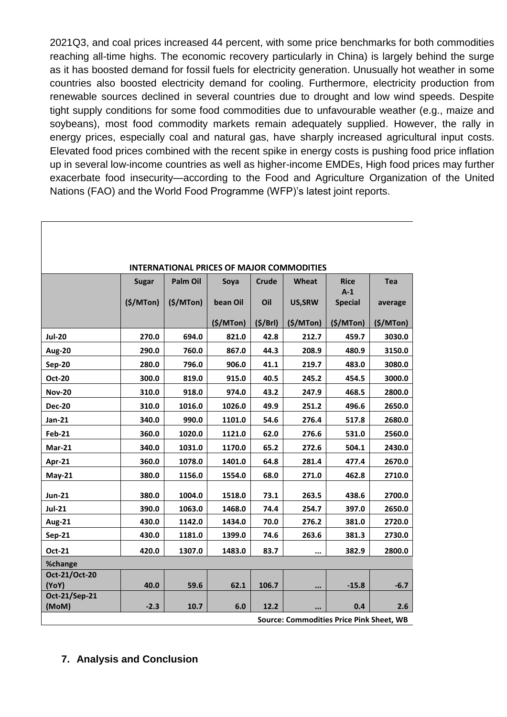2021Q3, and coal prices increased 44 percent, with some price benchmarks for both commodities reaching all-time highs. The economic recovery particularly in China) is largely behind the surge as it has boosted demand for fossil fuels for electricity generation. Unusually hot weather in some countries also boosted electricity demand for cooling. Furthermore, electricity production from renewable sources declined in several countries due to drought and low wind speeds. Despite tight supply conditions for some food commodities due to unfavourable weather (e.g., maize and soybeans), most food commodity markets remain adequately supplied. However, the rally in energy prices, especially coal and natural gas, have sharply increased agricultural input costs. Elevated food prices combined with the recent spike in energy costs is pushing food price inflation up in several low-income countries as well as higher-income EMDEs, High food prices may further exacerbate food insecurity—according to the Food and Agriculture Organization of the United Nations (FAO) and the World Food Programme (WFP)'s latest joint reports.

| <b>INTERNATIONAL PRICES OF MAJOR COMMODITIES</b> |              |                 |           |              |          |                      |            |  |  |  |
|--------------------------------------------------|--------------|-----------------|-----------|--------------|----------|----------------------|------------|--|--|--|
|                                                  | <b>Sugar</b> | <b>Palm Oil</b> | Soya      | <b>Crude</b> | Wheat    | <b>Rice</b><br>$A-1$ | <b>Tea</b> |  |  |  |
|                                                  | (S/M Ton)    | (S/MTon)        | bean Oil  | Oil          | US, SRW  | <b>Special</b>       | average    |  |  |  |
|                                                  |              |                 | (S/M Ton) | (5/Brl)      | (S/MTon) | (S/M Ton)            | (S/M Ton)  |  |  |  |
| <b>Jul-20</b>                                    | 270.0        | 694.0           | 821.0     | 42.8         | 212.7    | 459.7                | 3030.0     |  |  |  |
| <b>Aug-20</b>                                    | 290.0        | 760.0           | 867.0     | 44.3         | 208.9    | 480.9                | 3150.0     |  |  |  |
| <b>Sep-20</b>                                    | 280.0        | 796.0           | 906.0     | 41.1         | 219.7    | 483.0                | 3080.0     |  |  |  |
| <b>Oct-20</b>                                    | 300.0        | 819.0           | 915.0     | 40.5         | 245.2    | 454.5                | 3000.0     |  |  |  |
| <b>Nov-20</b>                                    | 310.0        | 918.0           | 974.0     | 43.2         | 247.9    | 468.5                | 2800.0     |  |  |  |
| <b>Dec-20</b>                                    | 310.0        | 1016.0          | 1026.0    | 49.9         | 251.2    | 496.6                | 2650.0     |  |  |  |
| Jan-21                                           | 340.0        | 990.0           | 1101.0    | 54.6         | 276.4    | 517.8                | 2680.0     |  |  |  |
| <b>Feb-21</b>                                    | 360.0        | 1020.0          | 1121.0    | 62.0         | 276.6    | 531.0                | 2560.0     |  |  |  |
| <b>Mar-21</b>                                    | 340.0        | 1031.0          | 1170.0    | 65.2         | 272.6    | 504.1                | 2430.0     |  |  |  |
| Apr-21                                           | 360.0        | 1078.0          | 1401.0    | 64.8         | 281.4    | 477.4                | 2670.0     |  |  |  |
| $May-21$                                         | 380.0        | 1156.0          | 1554.0    | 68.0         | 271.0    | 462.8                | 2710.0     |  |  |  |
| <b>Jun-21</b>                                    | 380.0        | 1004.0          | 1518.0    | 73.1         | 263.5    | 438.6                | 2700.0     |  |  |  |
| <b>Jul-21</b>                                    | 390.0        | 1063.0          | 1468.0    | 74.4         | 254.7    | 397.0                | 2650.0     |  |  |  |
| <b>Aug-21</b>                                    | 430.0        | 1142.0          | 1434.0    | 70.0         | 276.2    | 381.0                | 2720.0     |  |  |  |
| Sep-21                                           | 430.0        | 1181.0          | 1399.0    | 74.6         | 263.6    | 381.3                | 2730.0     |  |  |  |
| Oct-21                                           | 420.0        | 1307.0          | 1483.0    | 83.7         |          | 382.9                | 2800.0     |  |  |  |
| %change                                          |              |                 |           |              |          |                      |            |  |  |  |
| Oct-21/Oct-20<br>(YoY)                           | 40.0         | 59.6            | 62.1      | 106.7        | $\cdots$ | $-15.8$              | $-6.7$     |  |  |  |
| Oct-21/Sep-21                                    |              |                 |           |              |          |                      |            |  |  |  |
| (MoM)                                            | $-2.3$       | 10.7            | 6.0       | 12.2         |          | 0.4                  | 2.6        |  |  |  |
| <b>Source: Commodities Price Pink Sheet, WB</b>  |              |                 |           |              |          |                      |            |  |  |  |

#### **INTERNATIONAL PRICES OF MAJOR COMMODITIES**

# **7. Analysis and Conclusion**